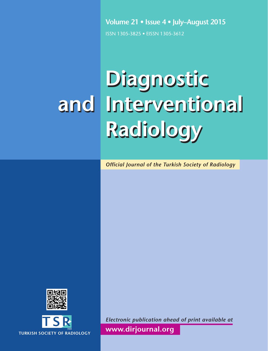**Volume 21 • Issue 4 • July–August 2015** ISSN 1305-3825 • EISSN 1305-3612

# **Diagnostic Diagnostic Interventional and Interventional and Radiology Radiology**

*Official Journal of the Turkish Society of Radiology*





*Electronic publication ahead of print available at*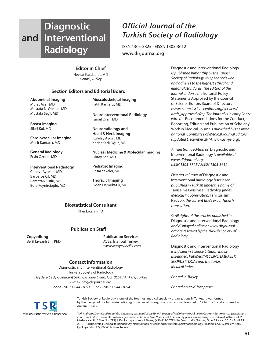# **and Interventional Diagnostic Radiology**

# *Official Journal of the Turkish Society of Radiology*

ISSN 1305-3825 • EISSN 1305-3612 **www.dirjournal.org**

#### **Editor in Chief**

Nevzat Karabulut, MD *Denizli, Turkey*

#### **Section Editors and Editorial Board**

**Abdominal Imaging** Murat Acar, MD Mustafa N. Özmen, MD Mustafa Seçil, MD

**Breast Imaging** Sibel Kul, MD

**Cardiovascular Imaging** Mecit Kantarcı, MD

**General Radiology** Ersin Öztürk, MD

**Interventional Radiology** Cüneyt Aytekin, MD Barbaros Çil, MD Ramazan Kutlu, MD Bora Peynircioğlu, MD

**Musculoskeletal Imaging** Fatih Kantarcı, MD

**Neurointerventional Radiology** İsmail Oran, MD

**Neuroradiology and Head & Neck Imaging** Kubilay Aydın, MD Kader Karlı Oğuz, MD

**Nuclear Medicine & Molecular Imaging** Oktay Sarı, MD

**Pediatric Imaging** Ensar Yekeler, MD

**Thoracic Imaging** Figen Demirkazık, MD

#### **Biostatistical Consultant**

İlker Ercan, PhD

#### **Publication Staff**

**Copyediting** Beril Tavşanlı Sili, PhD **Publication Services** AVES, İstanbul, Turkey *www.avesyayincilik.com*

#### **Contact Information**

Diagnostic and Interventional Radiology Turkish Society of Radiology Hoşdere Cad., Güzelkent Sok., Çankaya Evleri, F/2, 06540 Ankara, Turkey E-mail info@dirjournal.org *Phone* +90-312-4423653 *Fax* +90-312-4423654

Diagnostic and Interventional Radiology *is published bimonthly by the Turkish Society of Radiology. It is peer-reviewed and adheres to the highest ethical and editorial standards. The editors of the journal endorse the* Editorial Policy Statements Approved by the Council of Science Editors Board of Directors *(www.councilscienceeditors.org/services/ draft\_approved.cfm). The journal is in compliance with the* Recommendations for the Conduct, Reporting, Editing and Publication of Scholarly Work in Medical Journals *published by the International Committee of Medical Journal Editors (updated December 2014, www.icmje.org).*

*An electronic edition of* Diagnostic and Interventional Radiology *is available at www.dirjournal.org (ISSN 1305-3825 / EISSN 1305-3612).*

*First ten volumes of* Diagnostic and Interventional Radiology *have been published in Turkish under the name of* Tanısal ve Girişimsel Radyoloji *(Index Medicus® abbreviation:* Tani Girisim Radyol), *the current title's exact Turkish translation.*

*© All rights of the articles published in* Diagnostic and Interventional Radiology *and displayed online at www.dirjournal. org are reserved by the Turkish Society of Radiology.*

Diagnostic and Interventional Radiology *is indexed in Science Citation Index Expanded, PubMed/MEDLINE, EMBASE®, SCOPUS®, DOAJ and the Turkish Medical Index.*

*Printed in Turkey*

*Printed on acid-free paper*



Turkish Society of Radiology is one of the foremost medical specialty organizations in Turkey. It was formed by the merger of the two main radiology societies of Turkey, one of which was founded in 1924. The Society is based in Ankara, Turkey.

*Türk Radyoloji Derneği adına sahibi / Owned by on behalf of the Turkish Society of Radiology:* Abdulhakim Coşkun • *Sorumlu Yazı İşleri Müdürü / Executive Editor:* Tuncay Hazırolan • *Yayın türü / Publication Type:* Yerel süreli / Bimonthly periodical • *Basım yeri / Printed at:* ADA Ofset, 2. Matbaacılar Sit. E Blok No: (ZE2) 1. Kat Topkapı, İstanbul, Turkey (+90-212-5671242) • *Basım tarihi / Printing Date:* 25 Nisan 2015 / April 25, 2015 • Türk Radyoloji Derneği tarafından yayınlanmaktadır / Published by Turkish Society of Radiology, Hoşdere Cad., Güzelkent Sok., Çankaya Evleri, F/2, 06540 Ankara, Turkey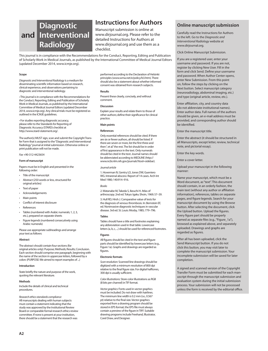### **and Diagnostic Interventional Radiology**

### **Instructions for Authors**

Manuscript submission is online at www.dirjournal.org. Please refer to the detailed Instructions for Authors at www.dirjournal.org and use them as a checklist.

This journal is in compliance with the Recommendations for the Conduct, Reporting, Editing and Publication of Scholarly Work in Medical Journals, as published by the International Committee of Medical Journal Editors (updated December 2014, www.icmje.org).

#### **Scope**

*Diagnostic and Interventional Radiology* is a medium for disseminating scientific information based on research, clinical experience, and observations pertaining to diagnostic and interventional radiology.

• This journal is in compliance with the Recommendations for the Conduct, Reporting, Editing and Publication of Scholarly Work in Medical Journals, as published by the International Committee of Medical Journal Editors (updated December 2014, www.icmje.org). Any clinical trials must be registered as outlined in the ICMJE guidelines.

• For studies reporting diagnostic accuracy, please refer to the Standards for Reporting of Diagnostic Accuracy (STARD) checklist at http://www.stard-statement.org/.

The author(s) MUST sign, scan and submit the Copyright Transfer Form that is assigned to the "Diagnostic and Interventional Radiology" journal at initial submission. Otherwise online or print publication will not be made.

*Fax* +90-312-4423654

#### **Form of manuscript**

Papers must be in English and presented in the following order:

- Title of the manuscript
- Abstract (250 words or less, structured for original articles)
- Text of paper
- Acknowledgements
- Main points
- Conflict of interest disclosure
- References
- Tables (numbered with Arabic numerals; 1, 2, 3, etc.), prepared on separate sheets
- Figure legends (numbered consecutively using Arabic numerals)

Please use appropriate subheadings and arrange your text as follows:

#### **Abstract**

The abstract should contain four sections (for original articles only): Purpose; Methods; Results; Conclusion. Each section should comprise one paragraph, beginning with the name of the section in uppercase letters, followed by a colon: (PURPOSE: We aimed to report examples of ...)

#### **Introduction**

State briefly the nature and purpose of the work, quoting the relevant literature.

#### **Methods**

Include the details of clinical and technical procedures.

*Research ethics standards compliance* All manuscripts dealing with human subjects must contain a statement indicating that the study was approved by the Institutional Review Board or comparable formal research ethics review committee. If none is present at your institution, there should be a statement that the research was

performed according to the Declaration of Helsinki principles (www.wma.net/e/policy/b3.htm). There should also be a statement about whether informed consent was obtained from research subjects.

#### **Results**

Present these clearly, concisely, and without comment.

#### **Discussion**

Explain your results and relate them to those of other authors; define their significance for clinical practice.

#### **Main points**

#### **References**

Only essential references should be cited. If there are six or fewer authors, all should be listed. If there are seven or more, list the first three and then ", et al." the rest. The list should be in order of first appearance in the text. Only numerals should be cited in the text. Journal names should be abbreviated according to MEDLINE (http:// www.ncbi.nlm.nih.gov/journals?itool=sidebar).

#### *Journal article*

1. Hoverman IV, Gentry LO, Jones DW, Guerriero WG. Intrarenal abscess: Report of 14 cases. Arch Int Med 1980; 140:914–916.

#### *Books*

2. Watanabe M, Takeda S, Ikeuchi H. Atlas of arthroscopy. 2nd ed. Tokyo: Igaku Shoin, 1969; 57–59.

3. Hull RD, Hirsh J. Comparative value of tests for the diagnosis of venous thrombosis. In: Bernstein EF, ed. Noninvasive diagnostic techniques in vascular disease. 3rd ed. St. Louis: Mosby, 1985; 779–796.

#### **Tables**

Tables should have a title and footnotes explaining any abbreviation used in that table. Lowercase letters (a, b, c, ...) should be used for referenced footnotes.

#### **Figures**

All figures should be cited in the text and figure parts should be identified by lowercase letters (e.g., Figure 1a). Graphs and drawings are regarded as figures.

#### **Electronic formats**

*Scan resolution:* Scanned line drawings should be digitized with a minimum resolution of 800 dpi relative to the final figure size. For digital halftones, 300 dpi is usually sufficient.

*Color illustrations:* Store color illustrations as RGB (8 bits per channel) in TIF format.

*Vector graphics:* Fonts used in vector graphics must be included. Do not draw with hairlines. The minimum line width is 0.2 mm (i.e., 0.567 pt) relative to the final size. Vector graphics exported from a drawing program should be stored in EPS format; the EPS file must always contain a preview of the figure in TIFF. Suitable drawing programs include Freehand, Illustrator, Corel Draw, and Designer.

#### **Online manuscript submission**

Carefully read the Instructions for Authors to the left. Go to the *Diagnostic and Interventional Radiology* website at www.dirjournal.org.

Click Online Manuscript Submission.

If you are a registered user, enter your username and password. If you are not, register by clicking New User. Fill in the form and click Send. Define your username and password. When Author Center opens, enter New Submission. From this point on, follow the steps by clicking on the Next button. Select manuscript category (neuroradiology, abdominal imaging, etc.) and type (original article, review, etc.).

Enter affiliation, city, and country data (do not abbreviate institutional names). Enter author data. Full names of the authors should be given, an e-mail address must be provided, and corresponding author should be identified.

Enter the manuscript title.

Enter the abstract (it should be structured in all Manuscripts, except letter, review, technical note, and pictorial essay).

Enter the key words.

Enter a cover letter.

Upload your manuscript in the following manner:

Name your manuscript, which must be a Word document, as "text". This document should contain, in an orderly fashion, the main text (without any author or affiliation information), references, tables on separate pages, and figure legends. Search for your manuscript document by using the Browse button. After selecting the document, click the Upload button. Upload the figures. Every figure part should be properly named as separate files (e.g., "Figure\_1a"), browsed as explained above, and separately uploaded. Drawings and graphs are regarded as figures.

After all has been uploaded, click the Send Manuscript button. If you do not click this button, you may visit later to complete the manuscript submission. Your incomplete submission will be saved for later completion.

A signed and scanned version of the Copyright Transfer Form must be submitted for each manuscript through the manuscript submission and evaluation system during the initial submission process. Your submission will not be processed unless the form is received by the editorial office.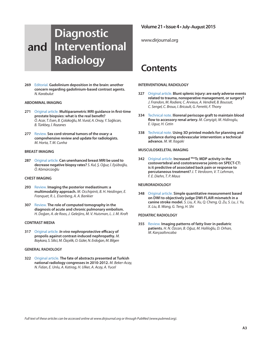# **and Interventional Diagnostic Radiology**

**269** Editorial. **Gadolinium deposition in the brain: another concern regarding gadolinium-based contrast agents.** *N. Karabulut*

#### **ABDOMINAL IMAGING**

- **271** Original article. **Multiparametric MRI guidance in first-time prostate biopsies: what is the real benefit?** *Ö. Acar, T. Esen, B. Çolakoğlu, M. Vural, A. Onay, Y. Sağlıcan, B. Türkbey, İ. Rozanes*
- **277** Review. **Sex cord-stromal tumors of the ovary: a comprehensive review and update for radiologists.** *M. Horta, T. M. Cunha*

#### **BREAST IMAGING**

**287** Original article. **Can unenhanced breast MRI be used to decrease negative biopsy rates?** *S. Kul, Ş. Oğuz, İ. Eyüboğlu, Ö. Kömürcüoğlu*

#### **CHEST IMAGING**

- **293** Review. **Imaging the posterior mediastinum: a multimodality approach.** *M. Occhipinti, B. H. Heidinger, E. Franquet, R. L. Eisenberg, A. A. Bankier*
- **307** Review. **The role of computed tomography in the diagnosis of acute and chronic pulmonary embolism.** *H. Doğan, A. de Roos, J. Geleijins, M. V. Huisman, L. J. M. Kroft*

#### **CONTRAST MEDIA**

**317** Original article. *In vivo* **nephroprotective efficacy of propolis against contrast-induced nephropathy.** *M. Baykara, S. Silici, M. Özçelik, O. Güler, N. Erdoğan, M. Bilgen*

#### **GENERAL RADIOLOGY**

**322** Original article. **The fate of abstracts presented at Turkish national radiology congresses in 2010-2012.** *M. Beker-Acay, N. Fidan, E. Unlu, A. Katirag, H. Ulker, A. Acay, A. Yucel*

**Volume 21 • Issue 4 • July–August2015**

www.dirjournal.org

# **Contents**

#### **INTERVENTIONAL RADIOLOGY**

- **327** Original article. **Blunt splenic injury: are early adverse events related to trauma, nonoperative management, or surgery?** *J. Frandon, M. Rodiere, C. Arvieux, A. Vendrell, B. Boussat, C. Sengel, C. Broux, I. Bricault, G. Ferretti, F. Thony*
- **334** Technical note. **Iliorenal periscope graft to maintain blood flow to accessory renal artery.** *M. Canyigit, M. Hidiroglu, E. Uguz, H. Cetin*
- **338** Technical note. **Using 3D printed models for planning and guidance during endovascular intervention: a technical advance.** *M. W. Itagaki*

#### **MUSCULOSKELETAL IMAGING**

**342** Original article. **Increased 99mTc MDP activity in the costovertebral and costotransverse joints on SPECT-CT: is it predictive of associated back pain or response to percutaneous treatment?** *J. T. Verdoorn, V. T. Lehman, F. E. Diehn, T. P. Maus*

#### **NEURORADIOLOGY**

**348** Original article. **Simple quantitative measurement based on DWI to objectively judge DWI-FLAIR mismatch in a canine stroke model.** *S. Liu, X. Xu, Q. Cheng, Q. Zu, S. Lu, J. Yu, X. Liu, B. Wang, G. Teng, H. Shi*

#### **PEDIATRIC RADIOLOGY**

**355** Review. **Imaging patterns of fatty liver in pediatric patients.** *H. N. Özcan, B. Oğuz, M. Haliloğlu, D. Orhan, M. Karçaaltıncaba*

*Full text of these articles can be accessed online at www.dirjournal.org or through PubMed (www.pubmed.org).*